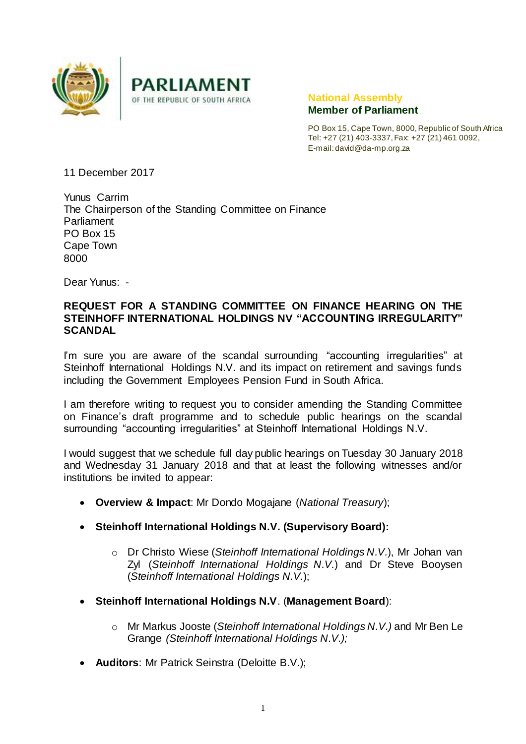



**National Assembly Member of Parliament**

PO Box 15, Cape Town, 8000, Republic of South Africa Tel: +27 (21) 403-3337, Fax: +27 (21) 461 0092, E-mail: david@da-mp.org.za

11 December 2017

Yunus Carrim The Chairperson of the Standing Committee on Finance Parliament PO Box 15 Cape Town 8000

Dear Yunus: -

## **REQUEST FOR A STANDING COMMITTEE ON FINANCE HEARING ON THE STEINHOFF INTERNATIONAL HOLDINGS NV "ACCOUNTING IRREGULARITY" SCANDAL**

I'm sure you are aware of the scandal surrounding "accounting irregularities" at Steinhoff International Holdings N.V. and its impact on retirement and savings funds including the Government Employees Pension Fund in South Africa.

I am therefore writing to request you to consider amending the Standing Committee on Finance's draft programme and to schedule public hearings on the scandal surrounding "accounting irregularities" at Steinhoff International Holdings N.V.

I would suggest that we schedule full day public hearings on Tuesday 30 January 2018 and Wednesday 31 January 2018 and that at least the following witnesses and/or institutions be invited to appear:

- **Overview & Impact**: Mr Dondo Mogajane (*National Treasury*);
- **Steinhoff International Holdings N.V. (Supervisory Board):** 
	- o Dr Christo Wiese (*Steinhoff International Holdings N.V.*), Mr Johan van Zyl (*Steinhoff International Holdings N.V.*) and Dr Steve Booysen (*Steinhoff International Holdings N.V.*);
- **Steinhoff International Holdings N.V**. (**Management Board**):
	- o Mr Markus Jooste (*Steinhoff International Holdings N.V.)* and Mr Ben Le Grange *(Steinhoff International Holdings N.V.);*
- **Auditors**: Mr Patrick Seinstra (Deloitte B.V.);